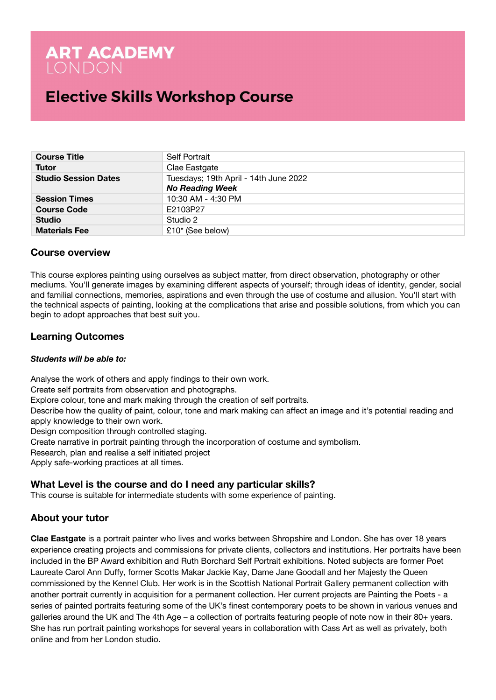# **ART ACADEMY**<br>LONDON

## **Elective Skills Workshop Course**

| <b>Course Title</b>         | <b>Self Portrait</b>                                            |
|-----------------------------|-----------------------------------------------------------------|
| Tutor                       | Clae Eastgate                                                   |
| <b>Studio Session Dates</b> | Tuesdays; 19th April - 14th June 2022<br><b>No Reading Week</b> |
| <b>Session Times</b>        | 10:30 AM - 4:30 PM                                              |
| <b>Course Code</b>          | E2103P27                                                        |
| <b>Studio</b>               | Studio 2                                                        |
| <b>Materials Fee</b>        | £10* (See below)                                                |

## **Course overview**

This course explores painting using ourselves as subject matter, from direct observation, photography or other mediums. You'll generate images by examining different aspects of yourself; through ideas of identity, gender, social and familial connections, memories, aspirations and even through the use of costume and allusion. You'll start with the technical aspects of painting, looking at the complications that arise and possible solutions, from which you can begin to adopt approaches that best suit you.

## **Learning Outcomes**

## *Students will be able to:*

Analyse the work of others and apply findings to their own work.

Create self portraits from observation and photographs.

Explore colour, tone and mark making through the creation of self portraits.

Describe how the quality of paint, colour, tone and mark making can affect an image and it's potential reading and apply knowledge to their own work.

Design composition through controlled staging.

Create narrative in portrait painting through the incorporation of costume and symbolism.

Research, plan and realise a self initiated project

Apply safe-working practices at all times.

## **What Level is the course and do I need any particular skills?**

This course is suitable for intermediate students with some experience of painting.

## **About your tutor**

**Clae Eastgate** is a portrait painter who lives and works between Shropshire and London. She has over 18 years experience creating projects and commissions for private clients, collectors and institutions. Her portraits have been included in the BP Award exhibition and Ruth Borchard Self Portrait exhibitions. Noted subjects are former Poet Laureate Carol Ann Duffy, former Scotts Makar Jackie Kay, Dame Jane Goodall and her Majesty the Queen commissioned by the Kennel Club. Her work is in the Scottish National Portrait Gallery permanent collection with another portrait currently in acquisition for a permanent collection. Her current projects are Painting the Poets - a series of painted portraits featuring some of the UK's finest contemporary poets to be shown in various venues and galleries around the UK and The 4th Age – a collection of portraits featuring people of note now in their 80+ years. She has run portrait painting workshops for several years in collaboration with Cass Art as well as privately, both online and from her London studio.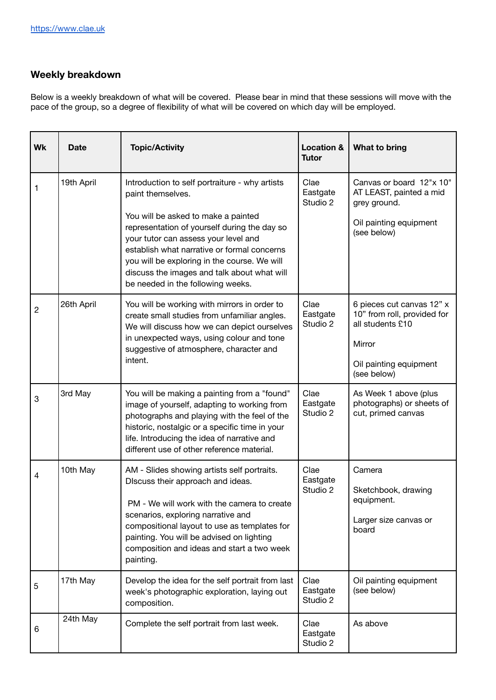## **Weekly breakdown**

Below is a weekly breakdown of what will be covered. Please bear in mind that these sessions will move with the pace of the group, so a degree of flexibility of what will be covered on which day will be employed.

| Wk             | <b>Date</b> | <b>Topic/Activity</b>                                                                                                                                                                                                                                                                                                                                                                 | <b>Location &amp;</b><br><b>Tutor</b> | What to bring                                                                                                                   |
|----------------|-------------|---------------------------------------------------------------------------------------------------------------------------------------------------------------------------------------------------------------------------------------------------------------------------------------------------------------------------------------------------------------------------------------|---------------------------------------|---------------------------------------------------------------------------------------------------------------------------------|
| 1              | 19th April  | Introduction to self portraiture - why artists<br>paint themselves.<br>You will be asked to make a painted<br>representation of yourself during the day so<br>your tutor can assess your level and<br>establish what narrative or formal concerns<br>you will be exploring in the course. We will<br>discuss the images and talk about what will<br>be needed in the following weeks. | Clae<br>Eastgate<br>Studio 2          | Canvas or board 12"x 10"<br>AT LEAST, painted a mid<br>grey ground.<br>Oil painting equipment<br>(see below)                    |
| $\overline{2}$ | 26th April  | You will be working with mirrors in order to<br>create small studies from unfamiliar angles.<br>We will discuss how we can depict ourselves<br>in unexpected ways, using colour and tone<br>suggestive of atmosphere, character and<br>intent.                                                                                                                                        | Clae<br>Eastgate<br>Studio 2          | 6 pieces cut canvas 12" x<br>10" from roll, provided for<br>all students £10<br>Mirror<br>Oil painting equipment<br>(see below) |
| 3              | 3rd May     | You will be making a painting from a "found"<br>image of yourself, adapting to working from<br>photographs and playing with the feel of the<br>historic, nostalgic or a specific time in your<br>life. Introducing the idea of narrative and<br>different use of other reference material.                                                                                            | Clae<br>Eastgate<br>Studio 2          | As Week 1 above (plus<br>photographs) or sheets of<br>cut, primed canvas                                                        |
| 4              | 10th May    | AM - Slides showing artists self portraits.<br>DIscuss their approach and ideas.<br>PM - We will work with the camera to create<br>scenarios, exploring narrative and<br>compositional layout to use as templates for<br>painting. You will be advised on lighting<br>composition and ideas and start a two week<br>painting.                                                         | Clae<br>Eastgate<br>Studio 2          | Camera<br>Sketchbook, drawing<br>equipment.<br>Larger size canvas or<br>board                                                   |
| 5              | 17th May    | Develop the idea for the self portrait from last<br>week's photographic exploration, laying out<br>composition.                                                                                                                                                                                                                                                                       | Clae<br>Eastgate<br>Studio 2          | Oil painting equipment<br>(see below)                                                                                           |
| 6              | 24th May    | Complete the self portrait from last week.                                                                                                                                                                                                                                                                                                                                            | Clae<br>Eastgate<br>Studio 2          | As above                                                                                                                        |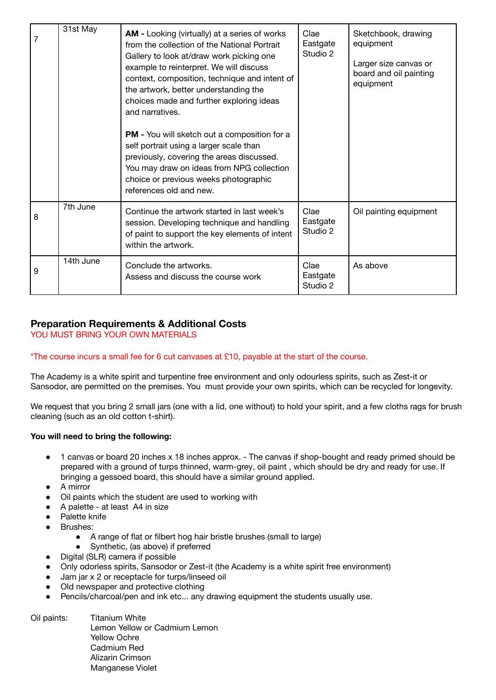| 7 | 31st May  | AM - Looking (virtually) at a series of works<br>from the collection of the National Portrait<br>Gallery to look at/draw work picking one<br>example to reinterpret. We will discuss<br>context, composition, technique and intent of<br>the artwork, better understanding the<br>choices made and further exploring ideas<br>and narratives.<br>PM - You will sketch out a composition for a<br>self portrait using a larger scale than<br>previously, covering the areas discussed.<br>You may draw on ideas from NPG collection<br>choice or previous weeks photographic | Clae<br>Eastgate<br>Studio 2 | Sketchbook, drawing<br>equipment<br>Larger size canvas or<br>board and oil painting<br>equipment |
|---|-----------|-----------------------------------------------------------------------------------------------------------------------------------------------------------------------------------------------------------------------------------------------------------------------------------------------------------------------------------------------------------------------------------------------------------------------------------------------------------------------------------------------------------------------------------------------------------------------------|------------------------------|--------------------------------------------------------------------------------------------------|
|   |           | references old and new.                                                                                                                                                                                                                                                                                                                                                                                                                                                                                                                                                     |                              |                                                                                                  |
| 8 | 7th June  | Continue the artwork started in last week's<br>session. Developing technique and handling<br>of paint to support the key elements of intent<br>within the artwork.                                                                                                                                                                                                                                                                                                                                                                                                          | Clae<br>Eastgate<br>Studio 2 | Oil painting equipment                                                                           |
| 9 | 14th June | Conclude the artworks.<br>Assess and discuss the course work                                                                                                                                                                                                                                                                                                                                                                                                                                                                                                                | Clae<br>Eastgate<br>Studio 2 | As above                                                                                         |

## **Preparation Requirements & Additional Costs**

YOU MUST BRING YOUR OWN MATERIALS

## \*The course incurs a small fee for 6 cut canvases at £10, payable at the start of the course.

The Academy is a white spirit and turpentine free environment and only odourless spirits, such as Zest-it or Sansodor, are permitted on the premises. You must provide your own spirits, which can be recycled for longevity.

We request that you bring 2 small jars (one with a lid, one without) to hold your spirit, and a few cloths rags for brush cleaning (such as an old cotton t-shirt).

## **You will need to bring the following:**

- 1 canvas or board 20 inches x 18 inches approx. The canvas if shop-bought and ready primed should be prepared with a ground of turps thinned, warm-grey, oil paint , which should be dry and ready for use. If bringing a gessoed board, this should have a similar ground applied.
- A mirror
- Oil paints which the student are used to working with
- A palette at least A4 in size
- Palette knife
- Brushes:
	- A range of flat or filbert hog hair bristle brushes (small to large)
	- Synthetic, (as above) if preferred
- Digital (SLR) camera if possible
- Only odorless spirits, Sansodor or Zest-it (the Academy is a white spirit free environment)
- Jam jar x 2 or receptacle for turps/linseed oil
- Old newspaper and protective clothing
- Pencils/charcoal/pen and ink etc... any drawing equipment the students usually use.

Oil paints: Titanium White Lemon Yellow or Cadmium Lemon Yellow Ochre Cadmium Red Alizarin Crimson Manganese Violet